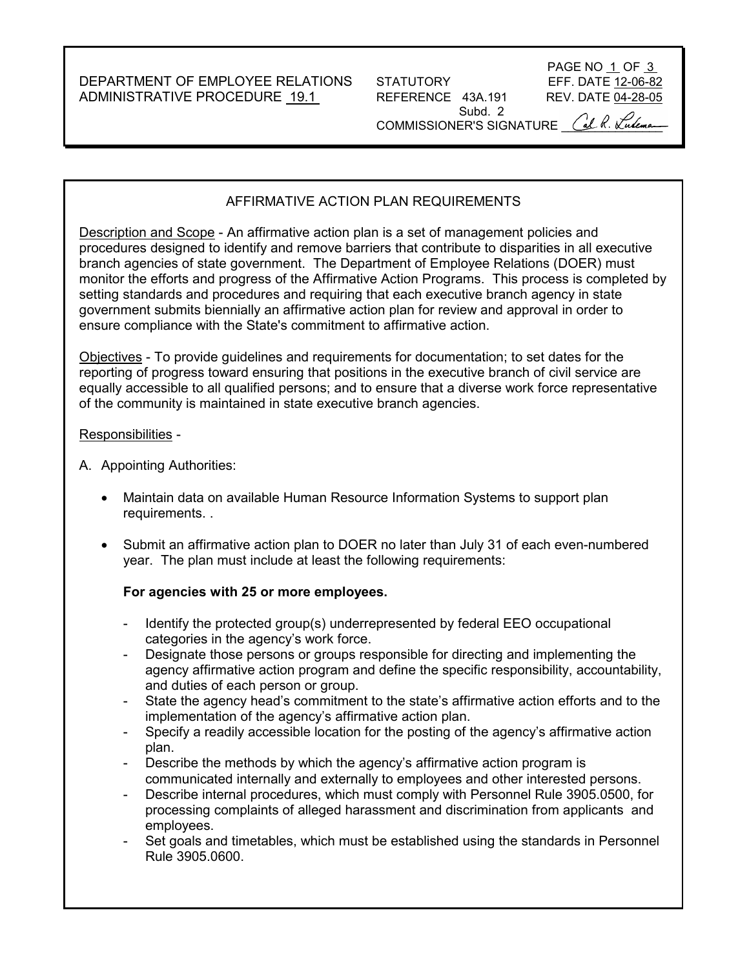DEPARTMENT OF EMPLOYEE RELATIONS STATUTORY EFF. DATE 12-06-82 ADMINISTRATIVE PROCEDURE 19.1 REFERENCE 43A.191 REV. DATE 04-28-05

Subd. 2



COMMISSIONER'S SIGNATURE CUL R. Kulema

# AFFIRMATIVE ACTION PLAN REQUIREMENTS

Description and Scope - An affirmative action plan is a set of management policies and procedures designed to identify and remove barriers that contribute to disparities in all executive branch agencies of state government. The Department of Employee Relations (DOER) must monitor the efforts and progress of the Affirmative Action Programs. This process is completed by setting standards and procedures and requiring that each executive branch agency in state government submits biennially an affirmative action plan for review and approval in order to ensure compliance with the State's commitment to affirmative action.

Objectives - To provide guidelines and requirements for documentation; to set dates for the reporting of progress toward ensuring that positions in the executive branch of civil service are equally accessible to all qualified persons; and to ensure that a diverse work force representative of the community is maintained in state executive branch agencies.

#### Responsibilities -

- A. Appointing Authorities:
	- Maintain data on available Human Resource Information Systems to support plan requirements. .
	- Submit an affirmative action plan to DOER no later than July 31 of each even-numbered year. The plan must include at least the following requirements:

### **For agencies with 25 or more employees.**

- Identify the protected group(s) underrepresented by federal EEO occupational categories in the agency's work force.
- Designate those persons or groups responsible for directing and implementing the agency affirmative action program and define the specific responsibility, accountability, and duties of each person or group.
- State the agency head's commitment to the state's affirmative action efforts and to the implementation of the agency's affirmative action plan.
- Specify a readily accessible location for the posting of the agency's affirmative action plan.
- Describe the methods by which the agency's affirmative action program is communicated internally and externally to employees and other interested persons.
- Describe internal procedures, which must comply with Personnel Rule 3905.0500, for processing complaints of alleged harassment and discrimination from applicants and employees.
- Set goals and timetables, which must be established using the standards in Personnel Rule 3905.0600.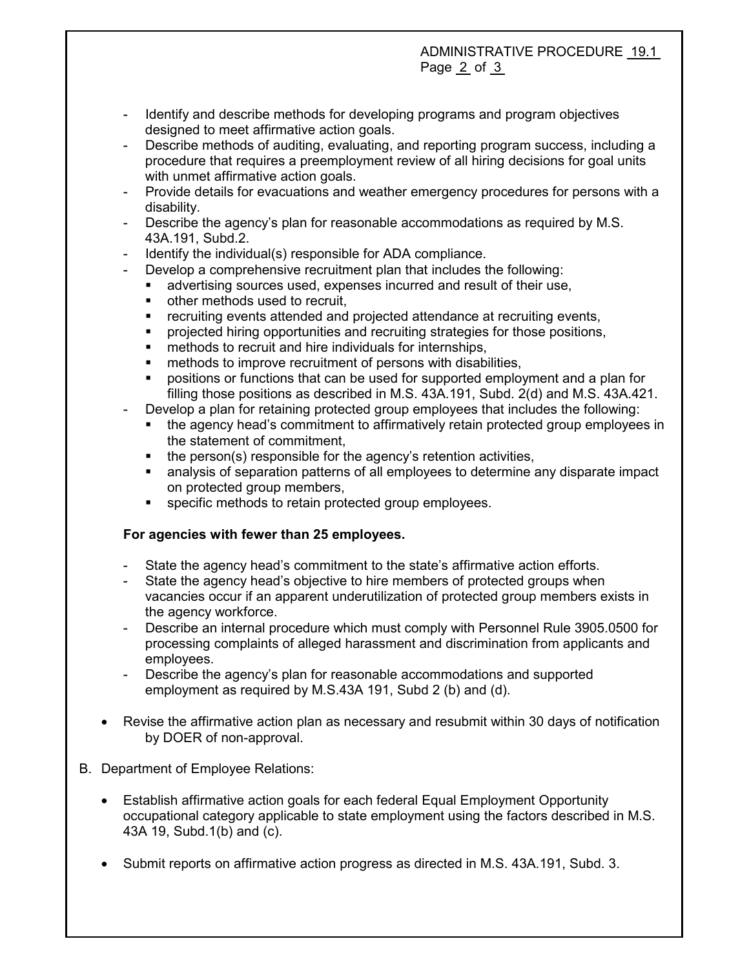# ADMINISTRATIVE PROCEDURE 19.1 Page 2 of 3

- Identify and describe methods for developing programs and program objectives designed to meet affirmative action goals.
- Describe methods of auditing, evaluating, and reporting program success, including a procedure that requires a preemployment review of all hiring decisions for goal units with unmet affirmative action goals.
- Provide details for evacuations and weather emergency procedures for persons with a disability.
- Describe the agency's plan for reasonable accommodations as required by M.S. 43A.191, Subd.2.
- Identify the individual(s) responsible for ADA compliance.
- Develop a comprehensive recruitment plan that includes the following:
	- advertising sources used, expenses incurred and result of their use,
	- other methods used to recruit,
	- recruiting events attended and projected attendance at recruiting events,
	- projected hiring opportunities and recruiting strategies for those positions,
	- methods to recruit and hire individuals for internships,
	- methods to improve recruitment of persons with disabilities,
	- positions or functions that can be used for supported employment and a plan for filling those positions as described in M.S. 43A.191, Subd. 2(d) and M.S. 43A.421.
- Develop a plan for retaining protected group employees that includes the following:
	- the agency head's commitment to affirmatively retain protected group employees in the statement of commitment,
	- the person(s) responsible for the agency's retention activities,
	- analysis of separation patterns of all employees to determine any disparate impact on protected group members,
	- specific methods to retain protected group employees.

# **For agencies with fewer than 25 employees.**

- State the agency head's commitment to the state's affirmative action efforts.
- State the agency head's objective to hire members of protected groups when vacancies occur if an apparent underutilization of protected group members exists in the agency workforce.
- Describe an internal procedure which must comply with Personnel Rule 3905.0500 for processing complaints of alleged harassment and discrimination from applicants and employees.
- Describe the agency's plan for reasonable accommodations and supported employment as required by M.S.43A 191, Subd 2 (b) and (d).
- Revise the affirmative action plan as necessary and resubmit within 30 days of notification by DOER of non-approval.
- B. Department of Employee Relations:
	- Establish affirmative action goals for each federal Equal Employment Opportunity occupational category applicable to state employment using the factors described in M.S. 43A 19, Subd.1(b) and (c).
	- Submit reports on affirmative action progress as directed in M.S. 43A.191, Subd. 3.